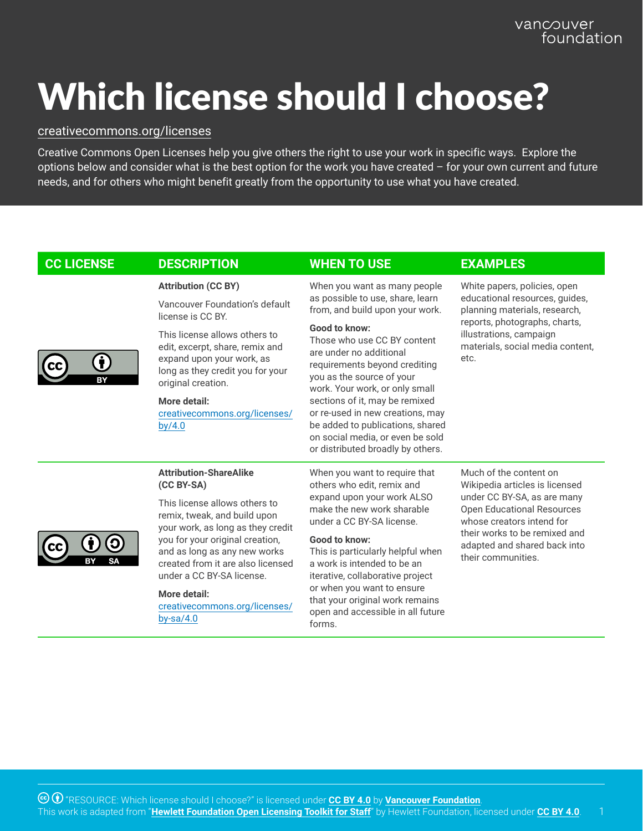## Which license should I choose?

## [creativecommons.org/licenses](https://creativecommons.org/licenses/)

Creative Commons Open Licenses help you give others the right to use your work in specific ways. Explore the options below and consider what is the best option for the work you have created – for your own current and future needs, and for others who might benefit greatly from the opportunity to use what you have created.

| <b>CC LICENSE</b> | <b>DESCRIPTION</b>                                                                                                                                                                                                                                                                                                                                   | <b>WHEN TO USE</b>                                                                                                                                                                                                                                                                                                                                                                                                                                                | <b>EXAMPLES</b>                                                                                                                                                                                                                                  |
|-------------------|------------------------------------------------------------------------------------------------------------------------------------------------------------------------------------------------------------------------------------------------------------------------------------------------------------------------------------------------------|-------------------------------------------------------------------------------------------------------------------------------------------------------------------------------------------------------------------------------------------------------------------------------------------------------------------------------------------------------------------------------------------------------------------------------------------------------------------|--------------------------------------------------------------------------------------------------------------------------------------------------------------------------------------------------------------------------------------------------|
|                   | <b>Attribution (CC BY)</b><br>Vancouver Foundation's default<br>license is CC BY.<br>This license allows others to<br>edit, excerpt, share, remix and<br>expand upon your work, as<br>long as they credit you for your<br>original creation.<br>More detail:<br>creativecommons.org/licenses/<br>by/4.0                                              | When you want as many people<br>as possible to use, share, learn<br>from, and build upon your work.<br>Good to know:<br>Those who use CC BY content<br>are under no additional<br>requirements beyond crediting<br>you as the source of your<br>work. Your work, or only small<br>sections of it, may be remixed<br>or re-used in new creations, may<br>be added to publications, shared<br>on social media, or even be sold<br>or distributed broadly by others. | White papers, policies, open<br>educational resources, guides,<br>planning materials, research,<br>reports, photographs, charts,<br>illustrations, campaign<br>materials, social media content,<br>etc.                                          |
|                   | <b>Attribution-ShareAlike</b><br>(CC BY-SA)<br>This license allows others to<br>remix, tweak, and build upon<br>your work, as long as they credit<br>you for your original creation,<br>and as long as any new works<br>created from it are also licensed<br>under a CC BY-SA license.<br>More detail:<br>creativecommons.org/licenses/<br>by-sa/4.0 | When you want to require that<br>others who edit, remix and<br>expand upon your work ALSO<br>make the new work sharable<br>under a CC BY-SA license.<br>Good to know:<br>This is particularly helpful when<br>a work is intended to be an<br>iterative, collaborative project<br>or when you want to ensure<br>that your original work remains<br>open and accessible in all future<br>forms.                                                                     | Much of the content on<br>Wikipedia articles is licensed<br>under CC BY-SA, as are many<br><b>Open Educational Resources</b><br>whose creators intend for<br>their works to be remixed and<br>adapted and shared back into<br>their communities. |